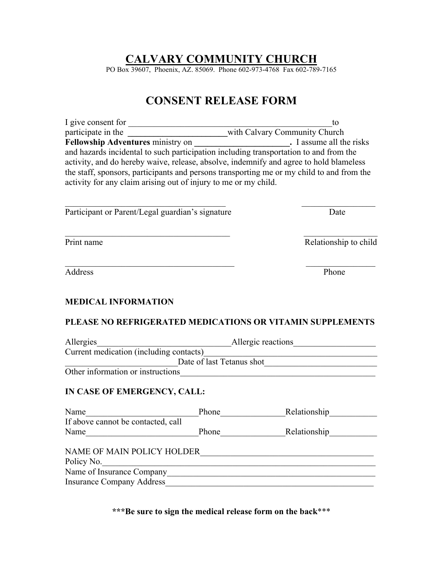## **CALVARY COMMUNITY CHURCH**

PO Box 39607, Phoenix, AZ. 85069. Phone 602-973-4768 Fax 602-789-7165

## **CONSENT RELEASE FORM**

| I give consent for                                                                        | tο                            |  |  |
|-------------------------------------------------------------------------------------------|-------------------------------|--|--|
| participate in the                                                                        | with Calvary Community Church |  |  |
| <b>Fellowship Adventures ministry on</b>                                                  | . I assume all the risks      |  |  |
| and hazards incidental to such participation including transportation to and from the     |                               |  |  |
| activity, and do hereby waive, release, absolve, indemnify and agree to hold blameless    |                               |  |  |
| the staff, sponsors, participants and persons transporting me or my child to and from the |                               |  |  |
| activity for any claim arising out of injury to me or my child.                           |                               |  |  |
|                                                                                           |                               |  |  |
|                                                                                           |                               |  |  |

 $\mathcal{L}_\text{max}$  , and the contribution of the contribution of the contribution of the contribution of the contribution of the contribution of the contribution of the contribution of the contribution of the contribution of t

 $\mathcal{L}_\text{max}$  , and the contract of the contract of the contract of the contract of the contract of the contract of the contract of the contract of the contract of the contract of the contract of the contract of the contr

| Participant or Parent/Legal guardian's signature | Date |
|--------------------------------------------------|------|
|                                                  |      |

Print name Relationship to child

| Address | - 1<br>Phone |
|---------|--------------|
|         |              |

### **MEDICAL INFORMATION**

#### **PLEASE NO REFRIGERATED MEDICATIONS OR VITAMIN SUPPLEMENTS**

| Allergies                               | Allergic reactions |  |  |
|-----------------------------------------|--------------------|--|--|
| Current medication (including contacts) |                    |  |  |
| Date of last Tetanus shot               |                    |  |  |
| Other information or instructions       |                    |  |  |
|                                         |                    |  |  |

## **IN CASE OF EMERGENCY, CALL:**

| Name                                                                                                      | Phone | Relationship |
|-----------------------------------------------------------------------------------------------------------|-------|--------------|
| If above cannot be contacted, call                                                                        |       |              |
| Name                                                                                                      | Phone | Relationship |
| NAME OF MAIN POLICY HOLDER<br>Policy No.<br>Name of Insurance Company<br><b>Insurance Company Address</b> |       |              |

**\*\*\*Be sure to sign the medical release form on the back**\*\*\*